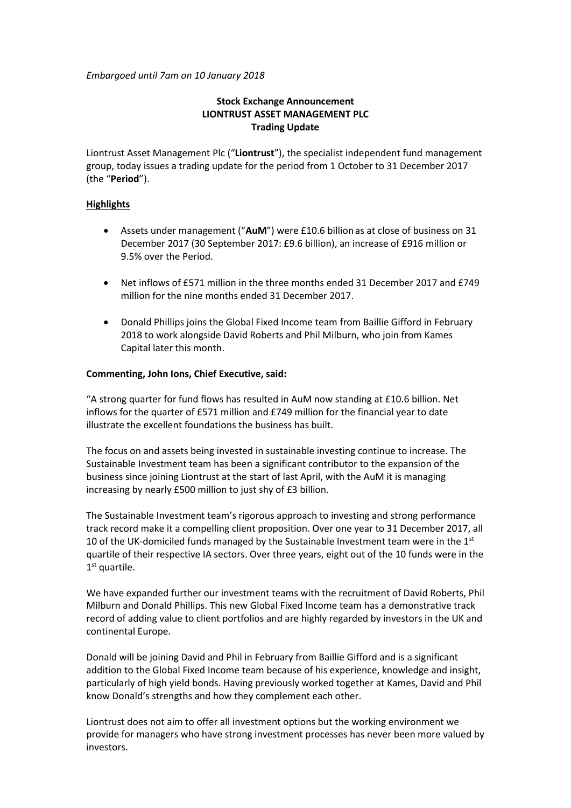*Embargoed until 7am on 10 January 2018*

# **Stock Exchange Announcement LIONTRUST ASSET MANAGEMENT PLC Trading Update**

Liontrust Asset Management Plc ("**Liontrust**"), the specialist independent fund management group, today issues a trading update for the period from 1 October to 31 December 2017 (the "**Period**").

## **Highlights**

- Assets under management ("**AuM**") were £10.6 billionas at close of business on 31 December 2017 (30 September 2017: £9.6 billion), an increase of £916 million or 9.5% over the Period.
- Net inflows of £571 million in the three months ended 31 December 2017 and £749 million for the nine months ended 31 December 2017.
- Donald Phillips joins the Global Fixed Income team from Baillie Gifford in February 2018 to work alongside David Roberts and Phil Milburn, who join from Kames Capital later this month.

## **Commenting, John Ions, Chief Executive, said:**

"A strong quarter for fund flows has resulted in AuM now standing at £10.6 billion. Net inflows for the quarter of £571 million and £749 million for the financial year to date illustrate the excellent foundations the business has built.

The focus on and assets being invested in sustainable investing continue to increase. The Sustainable Investment team has been a significant contributor to the expansion of the business since joining Liontrust at the start of last April, with the AuM it is managing increasing by nearly £500 million to just shy of £3 billion.

The Sustainable Investment team's rigorous approach to investing and strong performance track record make it a compelling client proposition. Over one year to 31 December 2017, all 10 of the UK-domiciled funds managed by the Sustainable Investment team were in the  $1<sup>st</sup>$ quartile of their respective IA sectors. Over three years, eight out of the 10 funds were in the 1<sup>st</sup> quartile.

We have expanded further our investment teams with the recruitment of David Roberts, Phil Milburn and Donald Phillips. This new Global Fixed Income team has a demonstrative track record of adding value to client portfolios and are highly regarded by investors in the UK and continental Europe.

Donald will be joining David and Phil in February from Baillie Gifford and is a significant addition to the Global Fixed Income team because of his experience, knowledge and insight, particularly of high yield bonds. Having previously worked together at Kames, David and Phil know Donald's strengths and how they complement each other.

Liontrust does not aim to offer all investment options but the working environment we provide for managers who have strong investment processes has never been more valued by investors.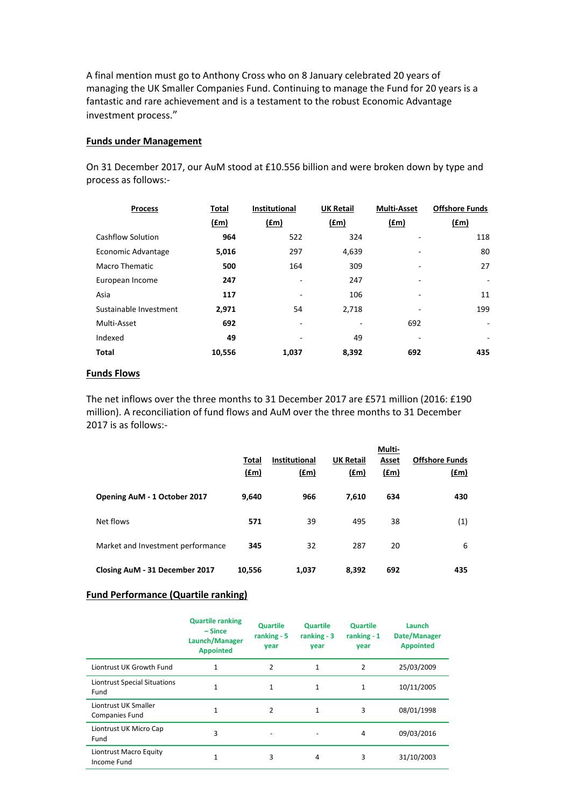A final mention must go to Anthony Cross who on 8 January celebrated 20 years of managing the UK Smaller Companies Fund. Continuing to manage the Fund for 20 years is a fantastic and rare achievement and is a testament to the robust Economic Advantage investment process."

## **Funds under Management**

On 31 December 2017, our AuM stood at £10.556 billion and were broken down by type and process as follows:-

| <b>Process</b>           | Total       | <b>Institutional</b> | <b>UK Retail</b> | <b>Multi-Asset</b> | <b>Offshore Funds</b>    |
|--------------------------|-------------|----------------------|------------------|--------------------|--------------------------|
|                          | <u>(£m)</u> | <u>(£m)</u>          | <u>(£m)</u>      | (f.m)              | (fm)                     |
| <b>Cashflow Solution</b> | 964         | 522                  | 324              |                    | 118                      |
| Economic Advantage       | 5,016       | 297                  | 4,639            |                    | 80                       |
| <b>Macro Thematic</b>    | 500         | 164                  | 309              |                    | 27                       |
| European Income          | 247         | ٠                    | 247              | ۰                  | $\overline{\phantom{0}}$ |
| Asia                     | 117         |                      | 106              |                    | 11                       |
| Sustainable Investment   | 2,971       | 54                   | 2,718            |                    | 199                      |
| Multi-Asset              | 692         |                      |                  | 692                | $\overline{\phantom{a}}$ |
| Indexed                  | 49          |                      | 49               |                    | ۰                        |
| <b>Total</b>             | 10,556      | 1,037                | 8,392            | 692                | 435                      |

## **Funds Flows**

The net inflows over the three months to 31 December 2017 are £571 million (2016: £190 million). A reconciliation of fund flows and AuM over the three months to 31 December 2017 is as follows:-

|                                   | Total<br><u>(£m)</u> | Institutional<br>$(\text{fm})$ | <b>UK Retail</b><br>$(\text{fm})$ | Multi-<br>Asset<br>$(\text{fm})$ | <b>Offshore Funds</b><br>$(\text{fm})$ |
|-----------------------------------|----------------------|--------------------------------|-----------------------------------|----------------------------------|----------------------------------------|
| Opening AuM - 1 October 2017      | 9,640                | 966                            | 7,610                             | 634                              | 430                                    |
| Net flows                         | 571                  | 39                             | 495                               | 38                               | (1)                                    |
| Market and Investment performance | 345                  | 32                             | 287                               | 20                               | 6                                      |
| Closing AuM - 31 December 2017    | 10,556               | 1,037                          | 8,392                             | 692                              | 435                                    |

# **Fund Performance (Quartile ranking)**

|                                               | <b>Quartile ranking</b><br>$-Since$<br>Launch/Manager<br><b>Appointed</b> | <b>Quartile</b><br>ranking $-5$<br>year | <b>Quartile</b><br>ranking $-3$<br>year | <b>Quartile</b><br>ranking $-1$<br>vear | Launch<br>Date/Manager<br><b>Appointed</b> |
|-----------------------------------------------|---------------------------------------------------------------------------|-----------------------------------------|-----------------------------------------|-----------------------------------------|--------------------------------------------|
| Liontrust UK Growth Fund                      | 1                                                                         | 2                                       | $\mathbf{1}$                            | 2                                       | 25/03/2009                                 |
| Liontrust Special Situations<br>Fund          | 1                                                                         | 1                                       | 1                                       | 1                                       | 10/11/2005                                 |
| Liontrust UK Smaller<br><b>Companies Fund</b> | 1                                                                         | 2                                       | 1                                       | 3                                       | 08/01/1998                                 |
| Liontrust UK Micro Cap<br>Fund                | 3                                                                         |                                         | $\overline{\phantom{0}}$                | $\overline{4}$                          | 09/03/2016                                 |
| Liontrust Macro Equity<br>Income Fund         | 1                                                                         | 3                                       | 4                                       | 3                                       | 31/10/2003                                 |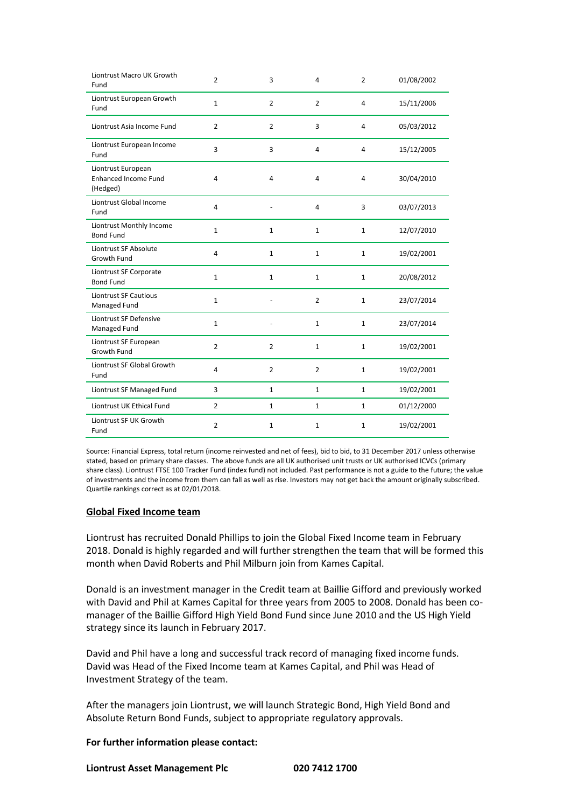| Liontrust Macro UK Growth<br>Fund                             | $\overline{2}$ | 3              | 4              | $\overline{2}$ | 01/08/2002 |
|---------------------------------------------------------------|----------------|----------------|----------------|----------------|------------|
| Liontrust European Growth<br>Fund                             | $\mathbf 1$    | $\overline{2}$ | $\overline{2}$ | $\overline{4}$ | 15/11/2006 |
| Liontrust Asia Income Fund                                    | $\overline{2}$ | $\overline{2}$ | 3              | $\overline{4}$ | 05/03/2012 |
| Liontrust European Income<br>Fund                             | 3              | 3              | 4              | $\overline{4}$ | 15/12/2005 |
| Liontrust European<br><b>Enhanced Income Fund</b><br>(Hedged) | 4              | 4              | $\overline{4}$ | 4              | 30/04/2010 |
| Liontrust Global Income<br>Fund                               | 4              |                | $\overline{4}$ | 3              | 03/07/2013 |
| Liontrust Monthly Income<br><b>Bond Fund</b>                  | $\mathbf{1}$   | $\mathbf{1}$   | 1              | $\mathbf{1}$   | 12/07/2010 |
| Liontrust SF Absolute<br>Growth Fund                          | $\overline{4}$ | $\mathbf{1}$   | $\mathbf{1}$   | $\mathbf{1}$   | 19/02/2001 |
| Liontrust SF Corporate<br><b>Bond Fund</b>                    | $\mathbf{1}$   | $1\,$          | $\mathbf{1}$   | $\mathbf{1}$   | 20/08/2012 |
| <b>Liontrust SF Cautious</b><br>Managed Fund                  | $\mathbf{1}$   |                | $\overline{2}$ | $\mathbf{1}$   | 23/07/2014 |
| Liontrust SF Defensive<br>Managed Fund                        | $\mathbf{1}$   |                | $\mathbf{1}$   | $\mathbf{1}$   | 23/07/2014 |
| Liontrust SF European<br>Growth Fund                          | $\overline{2}$ | $\overline{2}$ | $\mathbf{1}$   | $\mathbf{1}$   | 19/02/2001 |
| Liontrust SF Global Growth<br>Fund                            | 4              | $\overline{2}$ | $\overline{2}$ | $\mathbf{1}$   | 19/02/2001 |
| Liontrust SF Managed Fund                                     | 3              | $\mathbf{1}$   | $\mathbf{1}$   | $\mathbf{1}$   | 19/02/2001 |
| Liontrust UK Ethical Fund                                     | $\overline{2}$ | $\mathbf{1}$   | $\mathbf{1}$   | $\mathbf{1}$   | 01/12/2000 |
| Liontrust SF UK Growth<br>Fund                                | $\overline{2}$ | $\mathbf{1}$   | $\mathbf{1}$   | $\mathbf{1}$   | 19/02/2001 |

Source: Financial Express, total return (income reinvested and net of fees), bid to bid, to 31 December 2017 unless otherwise stated, based on primary share classes. The above funds are all UK authorised unit trusts or UK authorised ICVCs (primary share class). Liontrust FTSE 100 Tracker Fund (index fund) not included. Past performance is not a guide to the future; the value of investments and the income from them can fall as well as rise. Investors may not get back the amount originally subscribed. Quartile rankings correct as at 02/01/2018.

### **Global Fixed Income team**

Liontrust has recruited Donald Phillips to join the Global Fixed Income team in February 2018. Donald is highly regarded and will further strengthen the team that will be formed this month when David Roberts and Phil Milburn join from Kames Capital.

Donald is an investment manager in the Credit team at Baillie Gifford and previously worked with David and Phil at Kames Capital for three years from 2005 to 2008. Donald has been comanager of the Baillie Gifford High Yield Bond Fund since June 2010 and the US High Yield strategy since its launch in February 2017.

David and Phil have a long and successful track record of managing fixed income funds. David was Head of the Fixed Income team at Kames Capital, and Phil was Head of Investment Strategy of the team.

After the managers join Liontrust, we will launch Strategic Bond, High Yield Bond and Absolute Return Bond Funds, subject to appropriate regulatory approvals.

### **For further information please contact:**

**Liontrust Asset Management Plc 020 7412 1700**